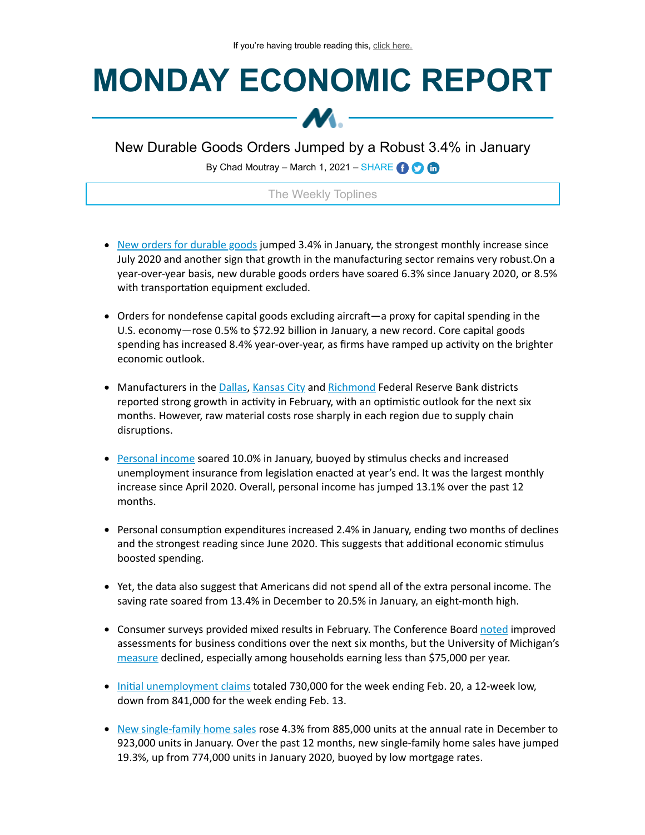# **MONDAY ECONOMIC REPORT**



New Durable Goods Orders Jumped by a Robust 3.4% in January

By Chad Moutray – March 1, 2021 – SHARE **(i)** O m

## The Weekly Toplines

- New orders for [durable](https://click.email.nam.org/?qs=458a36986f5bec5a3762439cce29ef7f663f6163c00ada0b8e18e06a7391564969b33e164d2761757a5055a622bf9bb86ec4f20c1033a7a5dd1733688d624b80) goods jumped 3.4% in January, the strongest monthly increase since July 2020 and another sign that growth in the manufacturing sector remains very robust.On a year-over-year basis, new durable goods orders have soared 6.3% since January 2020, or 8.5% with transportation equipment excluded.
- Orders for nondefense capital goods excluding aircraft—a proxy for capital spending in the U.S. economy—rose 0.5% to \$72.92 billion in January, a new record. Core capital goods spending has increased 8.4% year-over-year, as firms have ramped up activity on the brighter economic outlook.
- Manufacturers in the [Dallas](https://click.email.nam.org/?qs=458a36986f5bec5aec1cdb1247806bac4d3efd6617519622307afd1b65c909c2dd0abdcae0efd2074cf144c27366ad6df4edc4071b868726504e22ee30a6c1da), [Kansas](https://click.email.nam.org/?qs=458a36986f5bec5acfe96e6f977ab37821fdf84c1b09ae71157b7a44a1ec5419b745fa2c6b40b4a4be90054c11908cba094747ff980c55b1c015c0936973c954) City and [Richmond](https://click.email.nam.org/?qs=458a36986f5bec5a0c8040b886e6685555ef5bdbb8b0b09cda5f8976bb7c41ee4ad8d209c2564150684f5ea04e9a6f849b092e625feac4c5b4b39a98ae0477ce) Federal Reserve Bank districts reported strong growth in activity in February, with an optimistic outlook for the next six months. However, raw material costs rose sharply in each region due to supply chain disruptions.
- [Personal](https://click.email.nam.org/?qs=458a36986f5bec5a1b8f7ba0c3cf4f19c38e8567c37254f4707d6d92f27e5afad80373ef1e0905ac9dab28008aef2096095d39c0ef1db3d14b608420921aa7b8) income soared 10.0% in January, buoyed by stimulus checks and increased unemployment insurance from legislation enacted at year's end. It was the largest monthly increase since April 2020. Overall, personal income has jumped 13.1% over the past 12 months.
- Personal consumption expenditures increased 2.4% in January, ending two months of declines and the strongest reading since June 2020. This suggests that additional economic stimulus boosted spending.
- Yet, the data also suggest that Americans did not spend all of the extra personal income. The saving rate soared from 13.4% in December to 20.5% in January, an eight-month high.
- Consumer surveys provided mixed results in February. The Conference Board [noted](https://click.email.nam.org/?qs=458a36986f5bec5a44c9fbf22129aefc72245bcc4e69a92b681465d69bde2756d5450f05fca3812404cf0ff696841f3747b0aa8062dba223e25feca618463418) improved assessments for business conditions over the next six months, but the University of Michigan's [measure](https://click.email.nam.org/?qs=458a36986f5bec5a09258d5239b16f5b4ec472dc3800583256d8f69ba97488aa25ae69dcb3450e2a8dcea2edf1d6f8a5ffcb9bda75e3cf05e9dccf2c6f788ea4) declined, especially among households earning less than \$75,000 per year.
- Initial [unemployment](https://click.email.nam.org/?qs=458a36986f5bec5a6ebed21ce59986c4a8b27ee491156107aabdb3c5b23d22d3f9dbf660cf12d2c0611a1a72c5dd499a29157c6f951dfa58be493edd0bdf8840) claims totaled 730,000 for the week ending Feb. 20, a 12-week low, down from 841,000 for the week ending Feb. 13.
- New [single-family](https://click.email.nam.org/?qs=458a36986f5bec5a338bfd71eebc037d23681bd0a8aca3a09861a8f21af97cf6b10e321b67a7e82131400bc66ef5fdfb144843240ab9b0c2a807d78684be9ecf) home sales rose 4.3% from 885,000 units at the annual rate in December to 923,000 units in January. Over the past 12 months, new single-family home sales have jumped 19.3%, up from 774,000 units in January 2020, buoyed by low mortgage rates.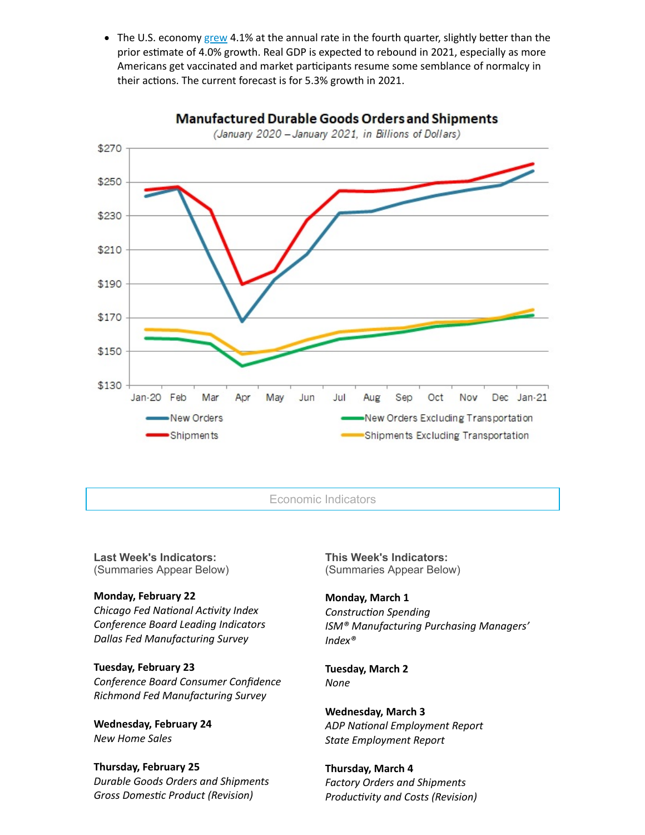The U.S. economy  $\frac{green}{4.1\%}$  at the annual rate in the fourth quarter, slightly better than the prior estimate of 4.0% growth. Real GDP is expected to rebound in 2021, especially as more Americans get vaccinated and market participants resume some semblance of normalcy in their actions. The current forecast is for 5.3% growth in 2021.



**Last Week's Indicators:** (Summaries Appear Below)

### **Monday, February 22**

*Chicago Fed National Activity Index Conference Board Leading Indicators Dallas Fed Manufacturing Survey*

## **Tuesday, February 23**

*Conference Board Consumer Confidence Richmond Fed Manufacturing Survey*

**Wednesday, February 24** *New Home Sales*

### **Thursday, February 25**

*Durable Goods Orders and Shipments*  $Gross Domestic Product (Revision)$ 

**This Week's Indicators:** (Summaries Appear Below)

### **Monday, March 1**

**Construction Spending** *ISM® Manufacturing Purchasing Managers' Index®*

**Tuesday, March 2** *None*

**Wednesday, March 3 ADP** National *Employment* Report *State Employment Report*

**Thursday, March 4** *Factory Orders and Shipments Productivity* and *Costs* (Revision)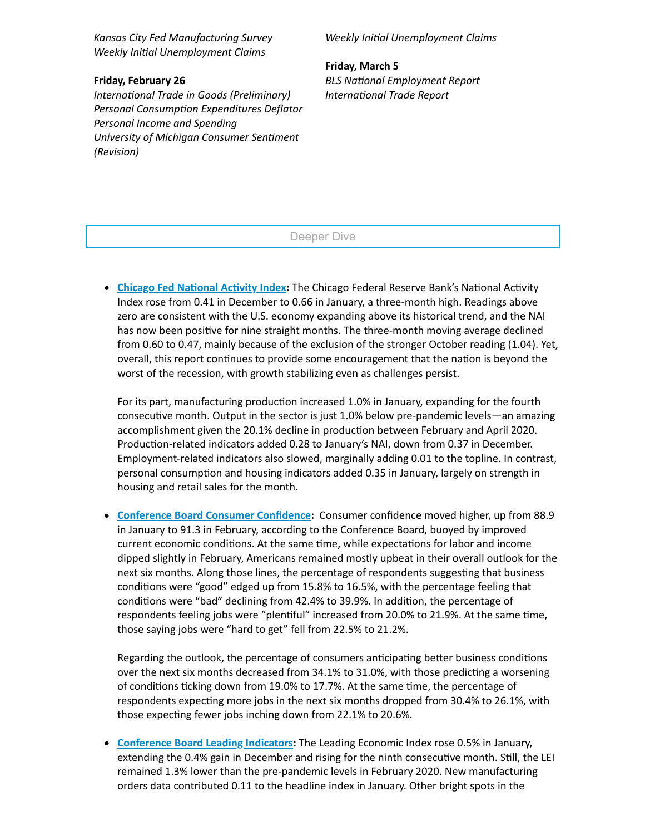*Kansas City Fed Manufacturing Survey Weekly Inial Unemployment Claims*

#### **Friday, February 26**

*International Trade in Goods (Preliminary) Personal Consumption Expenditures Deflator Personal Income and Spending <u>University of Michigan Consumer Sentiment</u> (Revision)*

*Weekly Inial Unemployment Claims*

**Friday, March 5 BLS** National *Employment* Report *International Trade Report* 

Deeper Dive

**Chicago Fed National Activity Index:** The Chicago Federal Reserve Bank's National Activity Index rose from 0.41 in December to 0.66 in January, a three-month high. Readings above zero are consistent with the U.S. economy expanding above its historical trend, and the NAI has now been positive for nine straight months. The three-month moving average declined from 0.60 to 0.47, mainly because of the exclusion of the stronger October reading (1.04). Yet, overall, this report continues to provide some encouragement that the nation is beyond the worst of the recession, with growth stabilizing even as challenges persist.

For its part, manufacturing production increased 1.0% in January, expanding for the fourth consecutive month. Output in the sector is just 1.0% below pre-pandemic levels—an amazing accomplishment given the 20.1% decline in production between February and April 2020. Production-related indicators added 0.28 to January's NAI, down from 0.37 in December. Employment-related indicators also slowed, marginally adding 0.01 to the topline. In contrast, personal consumption and housing indicators added 0.35 in January, largely on strength in housing and retail sales for the month.

**[Conference](https://click.email.nam.org/?qs=458a36986f5bec5a44c9fbf22129aefc72245bcc4e69a92b681465d69bde2756d5450f05fca3812404cf0ff696841f3747b0aa8062dba223e25feca618463418) Board Consumer Confidence:** Consumer confidence moved higher, up from 88.9 in January to 91.3 in February, according to the Conference Board, buoyed by improved current economic conditions. At the same time, while expectations for labor and income dipped slightly in February, Americans remained mostly upbeat in their overall outlook for the next six months. Along those lines, the percentage of respondents suggesting that business conditions were "good" edged up from 15.8% to 16.5%, with the percentage feeling that conditions were "bad" declining from 42.4% to 39.9%. In addition, the percentage of respondents feeling jobs were "plentiful" increased from 20.0% to 21.9%. At the same time, those saying jobs were "hard to get" fell from 22.5% to 21.2%.

Regarding the outlook, the percentage of consumers anticipating better business conditions over the next six months decreased from 34.1% to 31.0%, with those predicting a worsening of conditions ticking down from 19.0% to 17.7%. At the same time, the percentage of respondents expecting more jobs in the next six months dropped from 30.4% to 26.1%, with those expecting fewer jobs inching down from 22.1% to 20.6%.

**[Conference](https://click.email.nam.org/?qs=458a36986f5bec5a46932f8110840bd0af9364d4630b8b92687bf89e5c0dde79cbdfa43b24b2d4887bc9ba2ef7b5220188635aaddb9ead413d6ff72beced7a3f) Board Leading Indicators:** The Leading Economic Index rose 0.5% in January, extending the 0.4% gain in December and rising for the ninth consecutive month. Still, the LEI remained 1.3% lower than the pre-pandemic levels in February 2020. New manufacturing orders data contributed 0.11 to the headline index in January. Other bright spots in the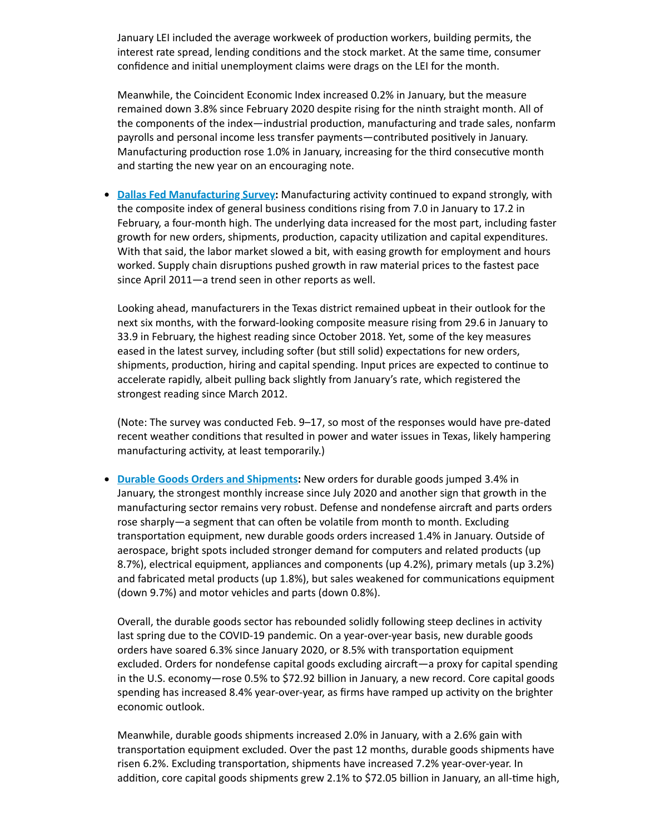January LEI included the average workweek of production workers, building permits, the interest rate spread, lending conditions and the stock market. At the same time, consumer confidence and initial unemployment claims were drags on the LEI for the month.

Meanwhile, the Coincident Economic Index increased 0.2% in January, but the measure remained down 3.8% since February 2020 despite rising for the ninth straight month. All of the components of the index—industrial production, manufacturing and trade sales, nonfarm payrolls and personal income less transfer payments—contributed positively in January. Manufacturing production rose 1.0% in January, increasing for the third consecutive month and starting the new year on an encouraging note.

**• Dallas Fed [Manufacturing](https://click.email.nam.org/?qs=458a36986f5bec5aec1cdb1247806bac4d3efd6617519622307afd1b65c909c2dd0abdcae0efd2074cf144c27366ad6df4edc4071b868726504e22ee30a6c1da) Survey:** Manufacturing activity continued to expand strongly, with the composite index of general business conditions rising from 7.0 in January to 17.2 in February, a four-month high. The underlying data increased for the most part, including faster growth for new orders, shipments, production, capacity utilization and capital expenditures. With that said, the labor market slowed a bit, with easing growth for employment and hours worked. Supply chain disruptions pushed growth in raw material prices to the fastest pace since April 2011—a trend seen in other reports as well.

Looking ahead, manufacturers in the Texas district remained upbeat in their outlook for the next six months, with the forward-looking composite measure rising from 29.6 in January to 33.9 in February, the highest reading since October 2018. Yet, some of the key measures eased in the latest survey, including softer (but still solid) expectations for new orders, shipments, production, hiring and capital spending. Input prices are expected to continue to accelerate rapidly, albeit pulling back slightly from January's rate, which registered the strongest reading since March 2012.

(Note: The survey was conducted Feb. 9–17, so most of the responses would have pre-dated recent weather conditions that resulted in power and water issues in Texas, likely hampering manufacturing activity, at least temporarily.)

**Durable Goods Orders and [Shipments:](https://click.email.nam.org/?qs=458a36986f5bec5a3762439cce29ef7f663f6163c00ada0b8e18e06a7391564969b33e164d2761757a5055a622bf9bb86ec4f20c1033a7a5dd1733688d624b80)** New orders for durable goods jumped 3.4% in January, the strongest monthly increase since July 2020 and another sign that growth in the manufacturing sector remains very robust. Defense and nondefense aircraft and parts orders rose sharply-a segment that can often be volatile from month to month. Excluding transportation equipment, new durable goods orders increased 1.4% in January. Outside of aerospace, bright spots included stronger demand for computers and related products (up 8.7%), electrical equipment, appliances and components (up 4.2%), primary metals (up 3.2%) and fabricated metal products (up 1.8%), but sales weakened for communications equipment (down 9.7%) and motor vehicles and parts (down 0.8%).

Overall, the durable goods sector has rebounded solidly following steep declines in activity last spring due to the COVID-19 pandemic. On a year-over-year basis, new durable goods orders have soared 6.3% since January 2020, or 8.5% with transportation equipment excluded. Orders for nondefense capital goods excluding aircraft—a proxy for capital spending in the U.S. economy—rose 0.5% to \$72.92 billion in January, a new record. Core capital goods spending has increased 8.4% year-over-year, as firms have ramped up activity on the brighter economic outlook.

Meanwhile, durable goods shipments increased 2.0% in January, with a 2.6% gain with transportation equipment excluded. Over the past 12 months, durable goods shipments have risen 6.2%. Excluding transportation, shipments have increased 7.2% year-over-year. In addition, core capital goods shipments grew 2.1% to \$72.05 billion in January, an all-time high,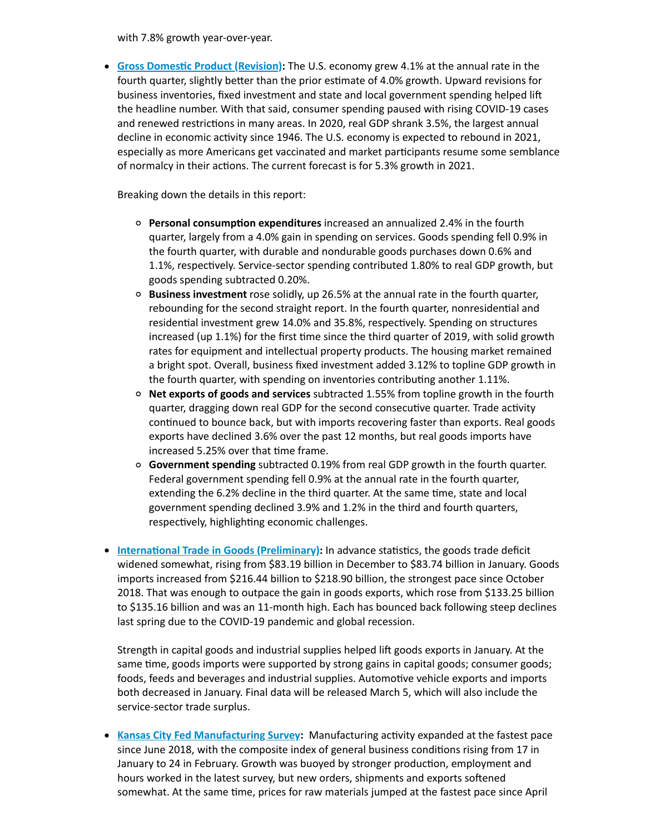with 7.8% growth year-over-year.

**Giover Commest** *Product* [\(Revision\):](https://click.email.nam.org/?qs=458a36986f5bec5a4d80082ea2829b0324c243c62d7d33c0f0ec914c12d39133c841cc7cf46cfc2d7d594c6795499a58c1a4b48925464455499c4d9b2a92a29d) The U.S. economy grew 4.1% at the annual rate in the fourth quarter, slightly better than the prior estimate of 4.0% growth. Upward revisions for business inventories, fixed investment and state and local government spending helped li the headline number. With that said, consumer spending paused with rising COVID-19 cases and renewed restrictions in many areas. In 2020, real GDP shrank 3.5%, the largest annual decline in economic activity since 1946. The U.S. economy is expected to rebound in 2021, especially as more Americans get vaccinated and market parcipants resume some semblance of normalcy in their actions. The current forecast is for 5.3% growth in 2021.

Breaking down the details in this report:

- **Personal consumption expenditures** increased an annualized 2.4% in the fourth quarter, largely from a 4.0% gain in spending on services. Goods spending fell 0.9% in the fourth quarter, with durable and nondurable goods purchases down 0.6% and 1.1%, respectively. Service-sector spending contributed 1.80% to real GDP growth, but goods spending subtracted 0.20%.
- **Business investment** rose solidly, up 26.5% at the annual rate in the fourth quarter, rebounding for the second straight report. In the fourth quarter, nonresidential and residential investment grew 14.0% and 35.8%, respectively. Spending on structures increased (up 1.1%) for the first time since the third quarter of 2019, with solid growth rates for equipment and intellectual property products. The housing market remained a bright spot. Overall, business fixed investment added 3.12% to topline GDP growth in the fourth quarter, with spending on inventories contributing another 1.11%.
- **Net exports of goods and services** subtracted 1.55% from topline growth in the fourth quarter, dragging down real GDP for the second consecutive quarter. Trade activity continued to bounce back, but with imports recovering faster than exports. Real goods exports have declined 3.6% over the past 12 months, but real goods imports have increased 5.25% over that time frame.
- **Government spending** subtracted 0.19% from real GDP growth in the fourth quarter. Federal government spending fell 0.9% at the annual rate in the fourth quarter, extending the 6.2% decline in the third quarter. At the same time, state and local government spending declined 3.9% and 1.2% in the third and fourth quarters, respectively, highlighting economic challenges.
- **International Trade in Goods [\(Preliminary\):](https://click.email.nam.org/?qs=458a36986f5bec5a3e6895fbc175f42ca330317d4f4d6addebefc0d84bfc184855b1ca4432288eb9ece6f97a9221093feeda7e8391054538fe408c83edecde60)** In advance statistics, the goods trade deficit widened somewhat, rising from \$83.19 billion in December to \$83.74 billion in January. Goods imports increased from \$216.44 billion to \$218.90 billion, the strongest pace since October 2018. That was enough to outpace the gain in goods exports, which rose from \$133.25 billion to \$135.16 billion and was an 11-month high. Each has bounced back following steep declines last spring due to the COVID-19 pandemic and global recession.

Strength in capital goods and industrial supplies helped lift goods exports in January. At the same time, goods imports were supported by strong gains in capital goods; consumer goods; foods, feeds and beverages and industrial supplies. Automotive vehicle exports and imports both decreased in January. Final data will be released March 5, which will also include the service-sector trade surplus.

• Kansas City Fed [Manufacturing](https://click.email.nam.org/?qs=458a36986f5bec5acfe96e6f977ab37821fdf84c1b09ae71157b7a44a1ec5419b745fa2c6b40b4a4be90054c11908cba094747ff980c55b1c015c0936973c954) Survey: Manufacturing activity expanded at the fastest pace since June 2018, with the composite index of general business conditions rising from 17 in January to 24 in February. Growth was buoyed by stronger production, employment and hours worked in the latest survey, but new orders, shipments and exports softened somewhat. At the same time, prices for raw materials jumped at the fastest pace since April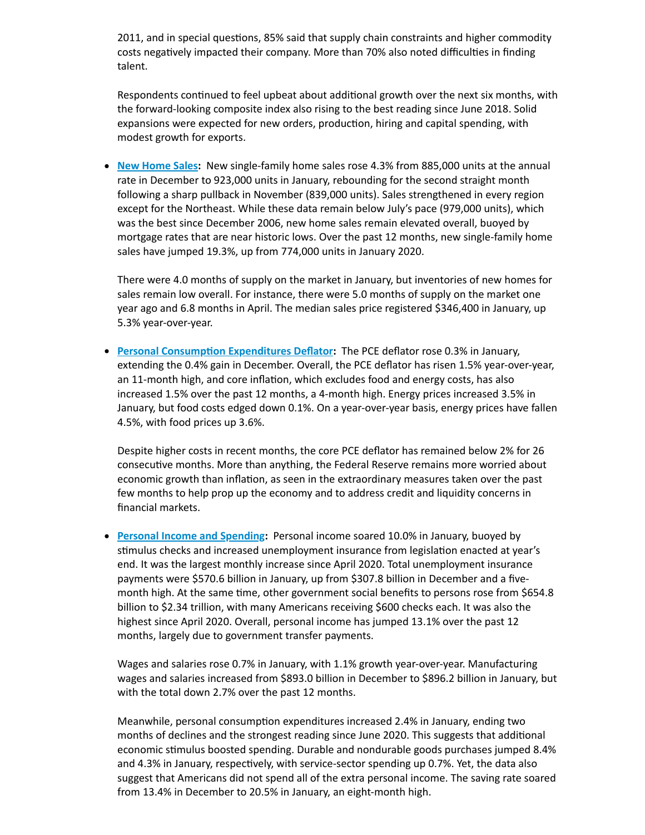2011, and in special questions, 85% said that supply chain constraints and higher commodity costs negatively impacted their company. More than 70% also noted difficulties in finding talent.

Respondents continued to feel upbeat about additional growth over the next six months, with the forward-looking composite index also rising to the best reading since June 2018. Solid expansions were expected for new orders, production, hiring and capital spending, with modest growth for exports.

**New [Home](https://click.email.nam.org/?qs=458a36986f5bec5a338bfd71eebc037d23681bd0a8aca3a09861a8f21af97cf6b10e321b67a7e82131400bc66ef5fdfb144843240ab9b0c2a807d78684be9ecf) Sales:** New single-family home sales rose 4.3% from 885,000 units at the annual rate in December to 923,000 units in January, rebounding for the second straight month following a sharp pullback in November (839,000 units). Sales strengthened in every region except for the Northeast. While these data remain below July's pace (979,000 units), which was the best since December 2006, new home sales remain elevated overall, buoyed by mortgage rates that are near historic lows. Over the past 12 months, new single-family home sales have jumped 19.3%, up from 774,000 units in January 2020.

There were 4.0 months of supply on the market in January, but inventories of new homes for sales remain low overall. For instance, there were 5.0 months of supply on the market one year ago and 6.8 months in April. The median sales price registered \$346,400 in January, up 5.3% year-over-year.

**Personal Consumption Expenditures Deflator:** The PCE deflator rose 0.3% in January, extending the 0.4% gain in December. Overall, the PCE deflator has risen 1.5% year-over-year, an 11-month high, and core inflation, which excludes food and energy costs, has also increased 1.5% over the past 12 months, a 4-month high. Energy prices increased 3.5% in January, but food costs edged down 0.1%. On a year-over-year basis, energy prices have fallen 4.5%, with food prices up 3.6%.

Despite higher costs in recent months, the core PCE deflator has remained below 2% for 26 consecutive months. More than anything, the Federal Reserve remains more worried about economic growth than inflation, as seen in the extraordinary measures taken over the past few months to help prop up the economy and to address credit and liquidity concerns in financial markets.

**Personal Income and [Spending:](https://click.email.nam.org/?qs=458a36986f5bec5a1b8f7ba0c3cf4f19c38e8567c37254f4707d6d92f27e5afad80373ef1e0905ac9dab28008aef2096095d39c0ef1db3d14b608420921aa7b8)** Personal income soared 10.0% in January, buoyed by stimulus checks and increased unemployment insurance from legislation enacted at year's end. It was the largest monthly increase since April 2020. Total unemployment insurance payments were \$570.6 billion in January, up from \$307.8 billion in December and a fivemonth high. At the same time, other government social benefits to persons rose from \$654.8 billion to \$2.34 trillion, with many Americans receiving \$600 checks each. It was also the highest since April 2020. Overall, personal income has jumped 13.1% over the past 12 months, largely due to government transfer payments.

Wages and salaries rose 0.7% in January, with 1.1% growth year-over-year. Manufacturing wages and salaries increased from \$893.0 billion in December to \$896.2 billion in January, but with the total down 2.7% over the past 12 months.

Meanwhile, personal consumption expenditures increased 2.4% in January, ending two months of declines and the strongest reading since June 2020. This suggests that additional economic stimulus boosted spending. Durable and nondurable goods purchases jumped 8.4% and 4.3% in January, respectively, with service-sector spending up 0.7%. Yet, the data also suggest that Americans did not spend all of the extra personal income. The saving rate soared from 13.4% in December to 20.5% in January, an eight-month high.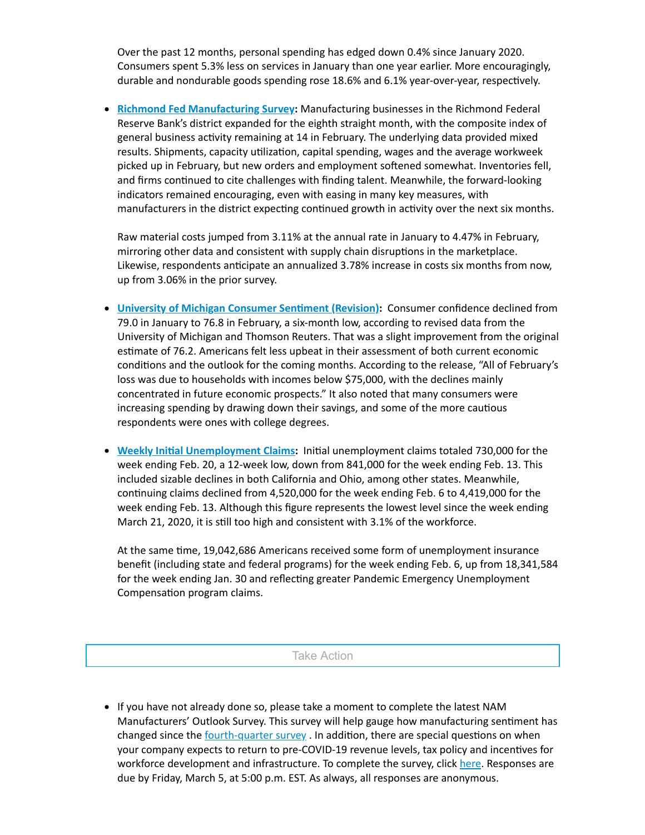Over the past 12 months, personal spending has edged down 0.4% since January 2020. Consumers spent 5.3% less on services in January than one year earlier. More encouragingly, durable and nondurable goods spending rose 18.6% and 6.1% year-over-year, respectively.

**Richmond Fed [Manufacturing](https://click.email.nam.org/?qs=458a36986f5bec5a0c8040b886e6685555ef5bdbb8b0b09cda5f8976bb7c41ee4ad8d209c2564150684f5ea04e9a6f849b092e625feac4c5b4b39a98ae0477ce) Survey:** Manufacturing businesses in the Richmond Federal Reserve Bank's district expanded for the eighth straight month, with the composite index of general business activity remaining at 14 in February. The underlying data provided mixed results. Shipments, capacity utilization, capital spending, wages and the average workweek picked up in February, but new orders and employment softened somewhat. Inventories fell, and firms continued to cite challenges with finding talent. Meanwhile, the forward-looking indicators remained encouraging, even with easing in many key measures, with manufacturers in the district expecting continued growth in activity over the next six months.

Raw material costs jumped from 3.11% at the annual rate in January to 4.47% in February, mirroring other data and consistent with supply chain disruptions in the marketplace. Likewise, respondents anticipate an annualized 3.78% increase in costs six months from now, up from 3.06% in the prior survey.

- **University of Michigan Consumer Sentiment (Revision): Consumer confidence declined from** 79.0 in January to 76.8 in February, a six-month low, according to revised data from the University of Michigan and Thomson Reuters. That was a slight improvement from the original estimate of 76.2. Americans felt less upbeat in their assessment of both current economic conditions and the outlook for the coming months. According to the release, "All of February's loss was due to households with incomes below \$75,000, with the declines mainly concentrated in future economic prospects." It also noted that many consumers were increasing spending by drawing down their savings, and some of the more cautious respondents were ones with college degrees.
- **Weekly Initial [Unemployment](https://click.email.nam.org/?qs=458a36986f5bec5a6ebed21ce59986c4a8b27ee491156107aabdb3c5b23d22d3f9dbf660cf12d2c0611a1a72c5dd499a29157c6f951dfa58be493edd0bdf8840) Claims:** Initial unemployment claims totaled 730,000 for the week ending Feb. 20, a 12-week low, down from 841,000 for the week ending Feb. 13. This included sizable declines in both California and Ohio, among other states. Meanwhile, continuing claims declined from 4,520,000 for the week ending Feb. 6 to 4,419,000 for the week ending Feb. 13. Although this figure represents the lowest level since the week ending March 21, 2020, it is still too high and consistent with 3.1% of the workforce.

At the same time, 19,042,686 Americans received some form of unemployment insurance benefit (including state and federal programs) for the week ending Feb. 6, up from 18,341,584 for the week ending Jan. 30 and reflecting greater Pandemic Emergency Unemployment Compensation program claims.

#### Take Action

If you have not already done so, please take a moment to complete the latest NAM Manufacturers' Outlook Survey. This survey will help gauge how manufacturing sentiment has changed since the **[fourth-quarter](https://click.email.nam.org/?qs=458a36986f5bec5a7625a3bc1dc89ded3c4af6890635e43e6e0315fe0b9d14ff17dd56d495872bcbdee09a2b5d58f635d77d72408207cb3f9fa1468fbc61616c) survey**. In addition, there are special questions on when your company expects to return to pre-COVID-19 revenue levels, tax policy and incentives for workforce development and infrastructure. To complete the survey, click [here.](https://click.email.nam.org/?qs=458a36986f5bec5a8b4a77eaf1b0008a04809f438af03dfe9eda9b3ca3a9ec5250bacab39059bb79554a3951efe11fc07886de985e2c7ab3884b1ddb8bfda16e) Responses are due by Friday, March 5, at 5:00 p.m. EST. As always, all responses are anonymous.